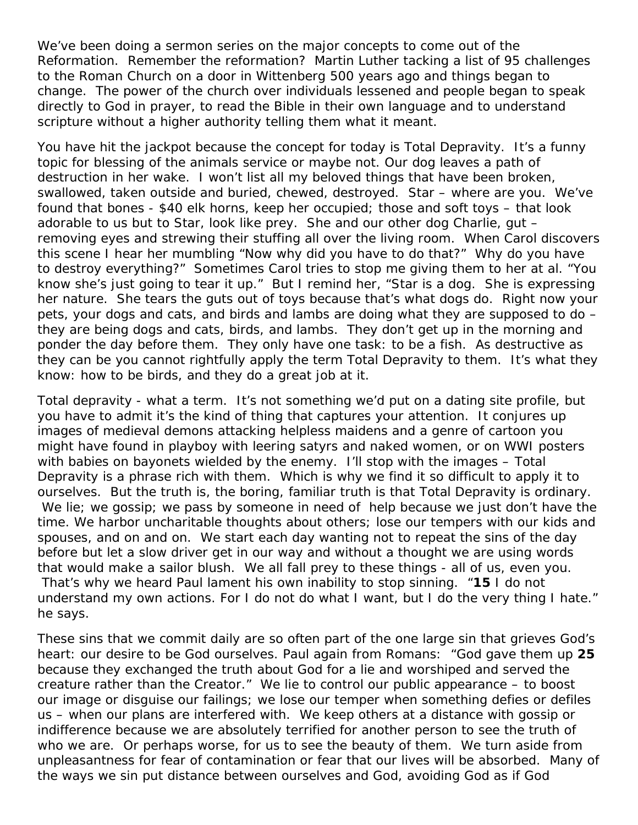We've been doing a sermon series on the major concepts to come out of the Reformation. Remember the reformation? Martin Luther tacking a list of 95 challenges to the Roman Church on a door in Wittenberg 500 years ago and things began to change. The power of the church over individuals lessened and people began to speak directly to God in prayer, to read the Bible in their own language and to understand scripture without a higher authority telling them what it meant.

You have hit the jackpot because the concept for today is Total Depravity. It's a funny topic for blessing of the animals service or maybe not. Our dog leaves a path of destruction in her wake. I won't list all my beloved things that have been broken, swallowed, taken outside and buried, chewed, destroyed. Star – where are you. We've found that bones - \$40 elk horns, keep her occupied; those and soft toys – that look adorable to us but to Star, look like prey. She and our other dog Charlie, gut – removing eyes and strewing their stuffing all over the living room. When Carol discovers this scene I hear her mumbling "Now why did you have to do that?" Why do you have to destroy everything?" Sometimes Carol tries to stop me giving them to her at al. "You know she's just going to tear it up." But I remind her, "Star is a dog. She is expressing her nature. She tears the guts out of toys because that's what dogs do. Right now your pets, your dogs and cats, and birds and lambs are doing what they are supposed to do – they are being dogs and cats, birds, and lambs. They don't get up in the morning and ponder the day before them. They only have one task: to be a fish. As destructive as they can be you cannot rightfully apply the term Total Depravity to them. It's what they know: how to be birds, and they do a great job at it.

Total depravity - what a term. It's not something we'd put on a dating site profile, but you have to admit it's the kind of thing that captures your attention. It conjures up images of medieval demons attacking helpless maidens and a genre of cartoon you might have found in playboy with leering satyrs and naked women, or on WWI posters with babies on bayonets wielded by the enemy. I'll stop with the images - Total Depravity is a phrase rich with them. Which is why we find it so difficult to apply it to ourselves. But the truth is, the boring, familiar truth is that Total Depravity is ordinary. We lie; we gossip; we pass by someone in need of help because we just don't have the time. We harbor uncharitable thoughts about others; lose our tempers with our kids and spouses, and on and on. We start each day wanting not to repeat the sins of the day before but let a slow driver get in our way and without a thought we are using words that would make a sailor blush. We all fall prey to these things - all of us, even you. That's why we heard Paul lament his own inability to stop sinning. "**15** I do not understand my own actions. For I do not do what I want, but I do the very thing I hate." he says.

These sins that we commit daily are so often part of the one large sin that grieves God's heart: our desire to be God ourselves. Paul again from Romans: "God gave them up **25**  because they exchanged the truth about God for a lie and worshiped and served the creature rather than the Creator." We lie to control our public appearance – to boost our image or disguise our failings; we lose our temper when something defies or defiles us – when our plans are interfered with. We keep others at a distance with gossip or indifference because we are absolutely terrified for another person to see the truth of who we are. Or perhaps worse, for us to see the beauty of them. We turn aside from unpleasantness for fear of contamination or fear that our lives will be absorbed. Many of the ways we sin put distance between ourselves and God, avoiding God as if God